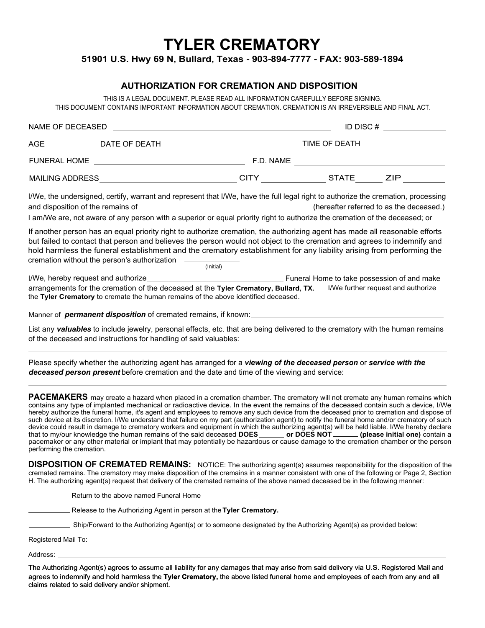# **TYLER CREMATORY**

**51901 U.S. Hwy 69 N, Bullard, Texas - 903-894-7777 - FAX: 903-589-1894** 

### **AUTHORIZATION FOR CREMATION AND DISPOSITION**

THIS IS A LEGAL DOCUMENT. PLEASE READ ALL INFORMATION CAREFULLY BEFORE SIGNING. THIS DOCUMENT CONTAINS IMPORTANT INFORMATION ABOUT CREMATION. CREMATION IS AN IRREVERSIBLE AND FINAL ACT.

|  |                                                                                                                                                                                                                                                                                                                                                                                                                                 | ID DISC $#$                              |  |  |
|--|---------------------------------------------------------------------------------------------------------------------------------------------------------------------------------------------------------------------------------------------------------------------------------------------------------------------------------------------------------------------------------------------------------------------------------|------------------------------------------|--|--|
|  | AGE _______    DATE OF DEATH ______________________________                                                                                                                                                                                                                                                                                                                                                                     | TIME OF DEATH <u>___________________</u> |  |  |
|  |                                                                                                                                                                                                                                                                                                                                                                                                                                 |                                          |  |  |
|  | MAILING ADDRESS _______________________________CITY ______________STATE _______ZIP _________                                                                                                                                                                                                                                                                                                                                    |                                          |  |  |
|  | I/We, the undersigned, certify, warrant and represent that I/We, have the full legal right to authorize the cremation, processing<br>I am/We are, not aware of any person with a superior or equal priority right to authorize the cremation of the deceased; or                                                                                                                                                                |                                          |  |  |
|  | If another person has an equal priority right to authorize cremation, the authorizing agent has made all reasonable efforts<br>but failed to contact that person and believes the person would not object to the cremation and agrees to indemnify and<br>hold harmless the funeral establishment and the crematory establishment for any liability arising from performing the<br>cremation without the person's authorization | $(\text{Initial})$                       |  |  |
|  | arrangements for the cremation of the deceased at the Tyler Crematory, Bullard, TX. I/We further request and authorize<br>the Tyler Crematory to cremate the human remains of the above identified deceased.                                                                                                                                                                                                                    |                                          |  |  |
|  |                                                                                                                                                                                                                                                                                                                                                                                                                                 |                                          |  |  |
|  | List any valuables to include jewelry, personal effects, etc. that are being delivered to the crematory with the human remains<br>of the deceased and instructions for handling of said valuables:                                                                                                                                                                                                                              |                                          |  |  |
|  | Please specify whether the authorizing agent has arranged for a viewing of the deceased person or service with the<br>deceased person present before cremation and the date and time of the viewing and service:                                                                                                                                                                                                                |                                          |  |  |
|  | PACEMAKERS may create a hazard when placed in a cremation chamber. The crematory will not cremate any human remains which<br>contains any type of implanted mechanical or radioactive device. In the event the remains of the deceased contain such a device. I/We                                                                                                                                                              |                                          |  |  |

contains any type of implanted mechanical or radioactive device. In the event the remains of the deceased contain such a device, I/We hereby authorize the funeral home, it's agent and employees to remove any such device from the deceased prior to cremation and dispose of such device at its discretion. I/We understand that failure on my part (authorization agent) to notify the funeral home and/or crematory of such device could result in damage to crematory workers and equipment in which the authorizing agent(s) will be held liable. I/We hereby declare that to my/our knowledge the human remains of the said deceased **DOES <b>ODES** NOT (please initial one) contain a pacemaker or any other material or implant that may potentially be hazardous or cause damage to the cremation chamber or the person performing the cremation.

**DISPOSITION OF CREMATED REMAINS:** NOTICE: The authorizing agent(s) assumes responsibility for the disposition of the cremated remains. The crematory may make disposition of the cremains in a manner consistent with one of the following or Page 2, Section H. The authorizing agent(s) request that delivery of the cremated remains of the above named deceased be in the following manner:

Return to the above named Funeral Home

Release to the Authorizing Agent in person at the **Tyler Crematory.** 

Ship/Forward to the Authorizing Agent(s) or to someone designated by the Authorizing Agent(s) as provided below:

Registered Mail To:

Address:

The Authorizing Agent(s) agrees to assume all liability for any damages that may arise from said delivery via U.S. Registered Mail and agrees to indemnify and hold harmless the **Tyler Crematory,** the above listed funeral home and employees of each from any and all claims related to said delivery and/or shipment.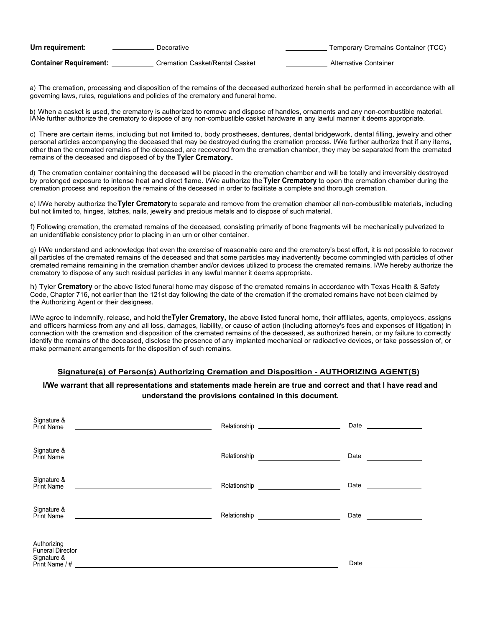| Urn requirement:              | Decorative                     | Temporary Cremains Container (TCC) |
|-------------------------------|--------------------------------|------------------------------------|
| <b>Container Requirement:</b> | Cremation Casket/Rental Casket | Alternative Container              |

a) The cremation, processing and disposition of the remains of the deceased authorized herein shall be performed in accordance with all governing laws, rules, regulations and policies of the crematory and funeral home.

b) When a casket is used, the crematory is authorized to remove and dispose of handles, ornaments and any non-combustible material. IANe further authorize the crematory to dispose of any non-combustible casket hardware in any lawful manner it deems appropriate.

c) There are certain items, including but not limited to, body prostheses, dentures, dental bridgework, dental filling, jewelry and other personal articles accompanying the deceased that may be destroyed during the cremation process. I/We further authorize that if any items, other than the cremated remains of the deceased, are recovered from the cremation chamber, they may be separated from the cremated remains of the deceased and disposed of by the **Tyler Crematory.** 

d) The cremation container containing the deceased will be placed in the cremation chamber and will be totally and irreversibly destroyed by prolonged exposure to intense heat and direct flame. I/We authorize the **Tyler Crematory** to open the cremation chamber during the cremation process and reposition the remains of the deceased in order to facilitate a complete and thorough cremation.

e) I/We hereby authorize the **Tyler Crematory** to separate and remove from the cremation chamber all non-combustible materials, including but not limited to, hinges, latches, nails, jewelry and precious metals and to dispose of such material.

f) Following cremation, the cremated remains of the deceased, consisting primarily of bone fragments will be mechanically pulverized to an unidentifiable consistency prior to placing in an urn or other container.

g) I/We understand and acknowledge that even the exercise of reasonable care and the crematory's best effort, it is not possible to recover all particles of the cremated remains of the deceased and that some particles may inadvertently become commingled with particles of other cremated remains remaining in the cremation chamber and/or devices utilized to process the cremated remains. I/We hereby authorize the crematory to dispose of any such residual particles in any lawful manner it deems appropriate.

h) Tyler **Crematory** or the above listed funeral home may dispose of the cremated remains in accordance with Texas Health & Safety Code, Chapter 716, not earlier than the 121st day following the date of the cremation if the cremated remains have not been claimed by the Authorizing Agent or their designees.

I/We agree to indemnify, release, and hold the**Tyler Crematory,** the above listed funeral home, their affiliates, agents, employees, assigns and officers harmless from any and all loss, damages, liability, or cause of action (including attorney's fees and expenses of litigation) in connection with the cremation and disposition of the cremated remains of the deceased, as authorized herein, or my failure to correctly identify the remains of the deceased, disclose the presence of any implanted mechanical or radioactive devices, or take possession of, or make permanent arrangements for the disposition of such remains.

#### **Signature(s) of Person(s) Authorizing Cremation and Disposition - AUTHORIZING AGENT(S)**

**I/We warrant that all representations and statements made herein are true and correct and that I have read and understand the provisions contained in this document.** 

| Signature &<br><b>Print Name</b>                                                                                                                                                                                                                           |                                                       | Date and the state of the state of the state of the state of the state of the state of the state of the state of the state of the state of the state of the state of the state of the state of the state of the state of the s |
|------------------------------------------------------------------------------------------------------------------------------------------------------------------------------------------------------------------------------------------------------------|-------------------------------------------------------|--------------------------------------------------------------------------------------------------------------------------------------------------------------------------------------------------------------------------------|
| Signature &<br>Print Name<br>the control of the control of the control of the control of the control of the control of the control of the control of the control of the control of the control of the control of the control of the control of the control | Relationship<br><u> 1980 - Jan Barbara Barbara, m</u> | Date                                                                                                                                                                                                                           |
| Signature &<br>Print Name                                                                                                                                                                                                                                  | Relationship                                          | Date                                                                                                                                                                                                                           |
| Signature &<br>Print Name                                                                                                                                                                                                                                  | Relationship                                          | Date                                                                                                                                                                                                                           |
| Authorizing<br><b>Funeral Director</b><br>Signature &<br>Print Name / #                                                                                                                                                                                    |                                                       | Date                                                                                                                                                                                                                           |